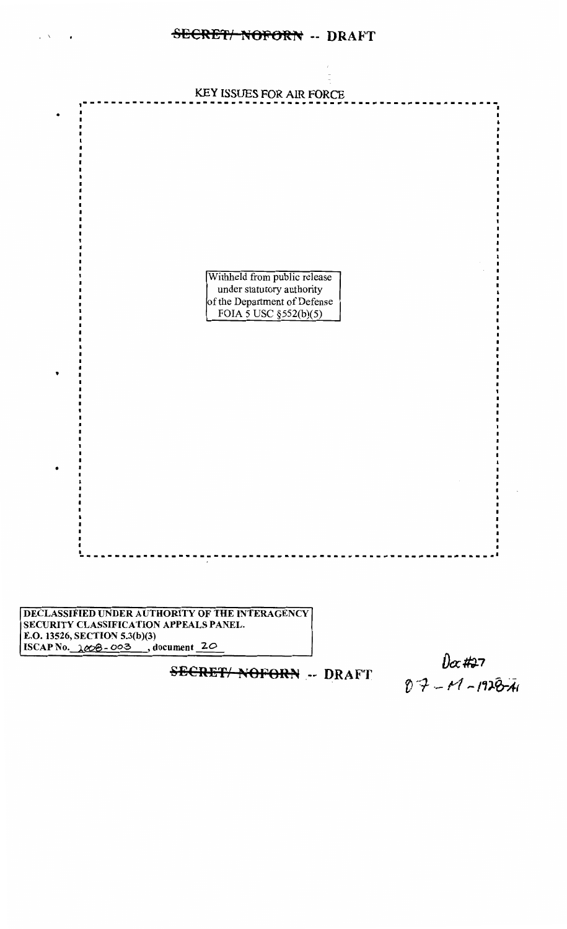

DECLASSIFIED UNDER AUTHORITY OF THE INTERAGENCY SECURITY CLASSIFICATION APPEALS PANEL. E.O. 13526, SECTION 5.3(b)(3) ISCAP No.  $\triangle$ 003, document 20

**SECRET/ NOFORN -- DRAFT** 

 $0x#27$ <br> $07 - 11 - 192674$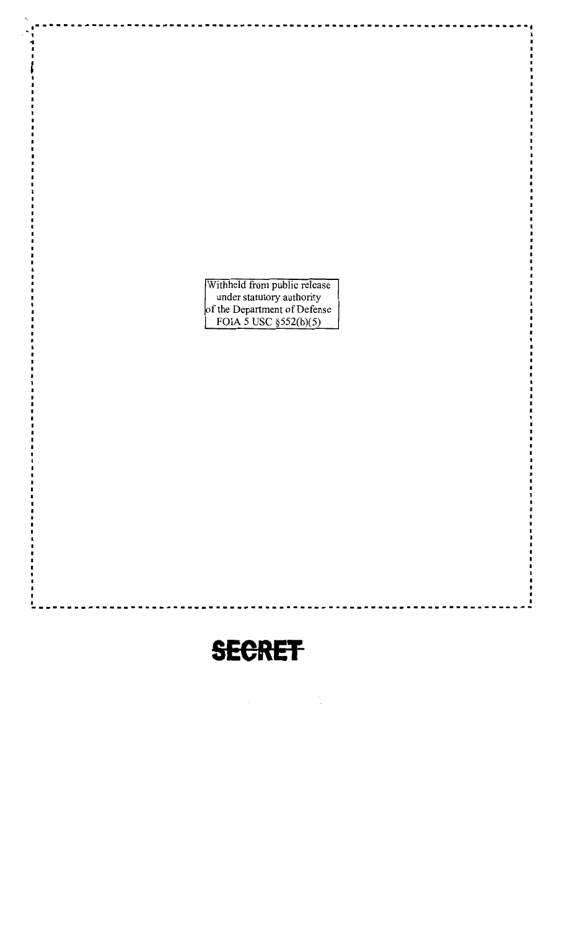Withheld from public release<br>
under statutory authority<br>
of the Department of Defense<br>
FOIA 5 USC §552(b)(5)

.---------------------------------------------------------------------

••

I

# **SEeRET**

----------------------------------------------------------------------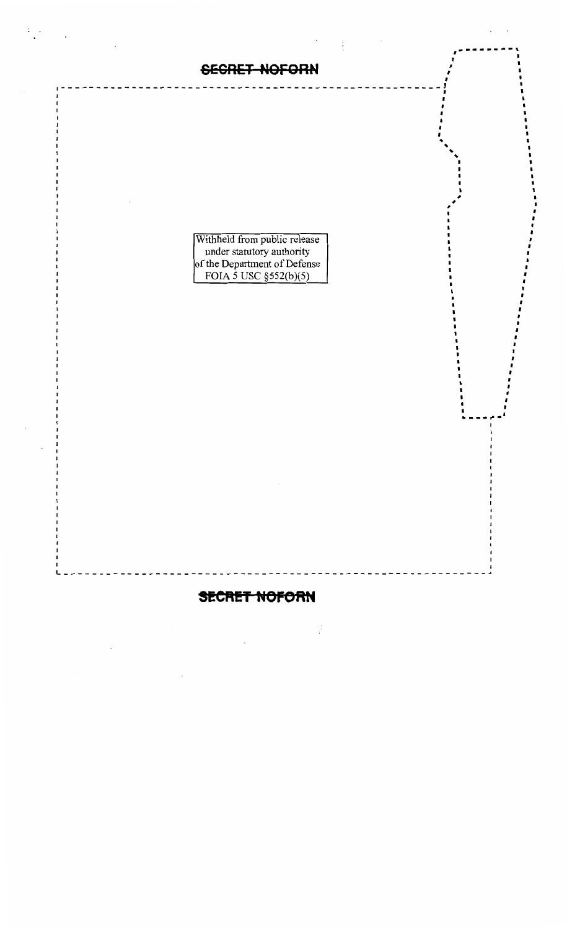Withheld from public release<br>under statutory authority<br>of the Department of Defense<br>FOIA 5 USC §552(b)(5)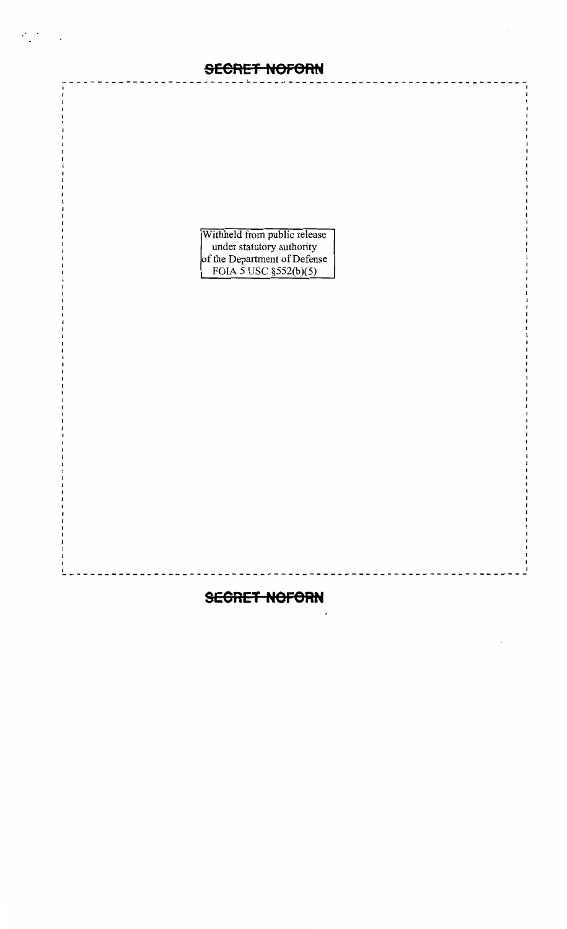$\cdot$   $\cdot$ 

Withheld from public release<br>
under statutory authority<br>
of the Department of Defense<br>
FOIA 5 USC §552(b)(5)

#### **SEGRET NOFORN**

-----------------------------------------------------------------

I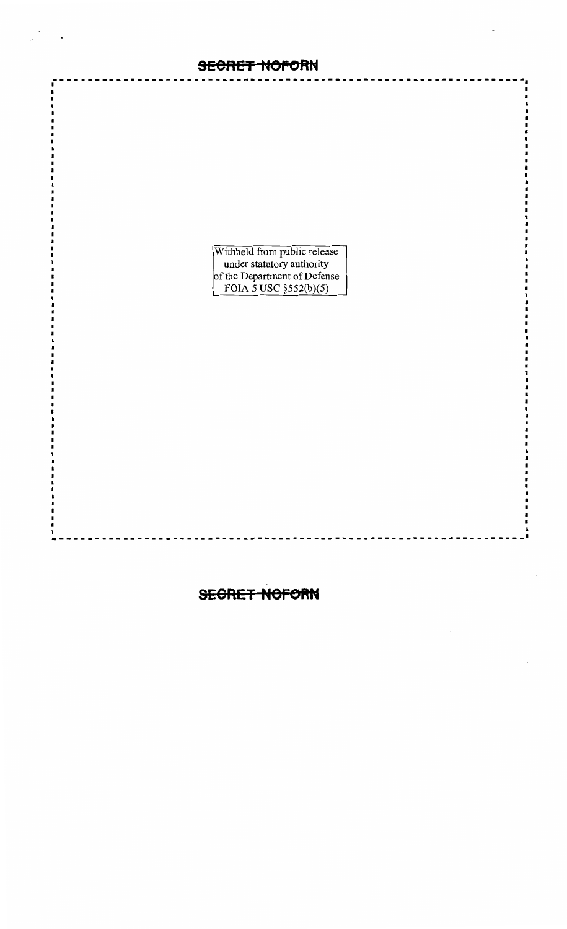Withheld from public release<br>
under statutory authority<br>
of the Department of Defense<br>
FOIA 5 USC §552(b)(5)

#### **SECRET NOFORN**

-------------------------------------------------------------------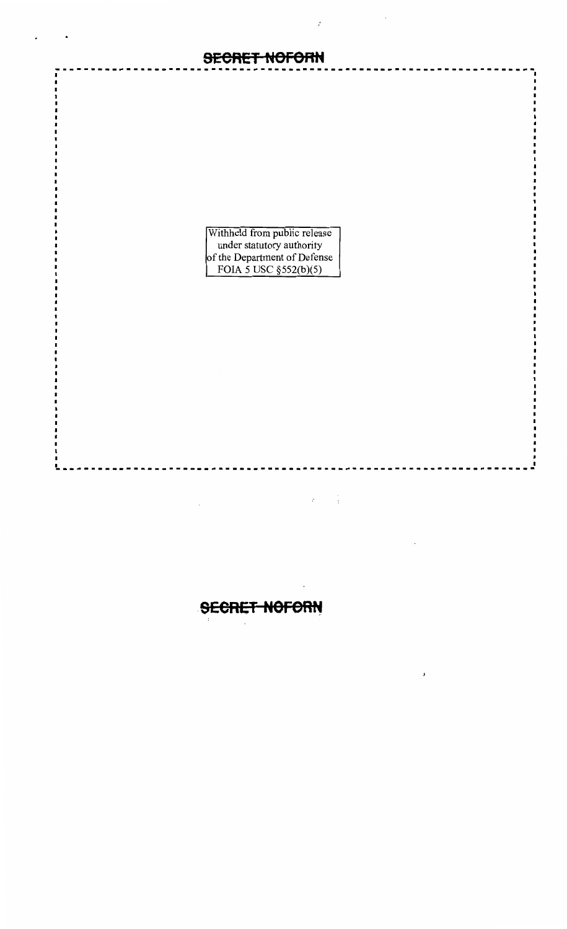

 $\cdot$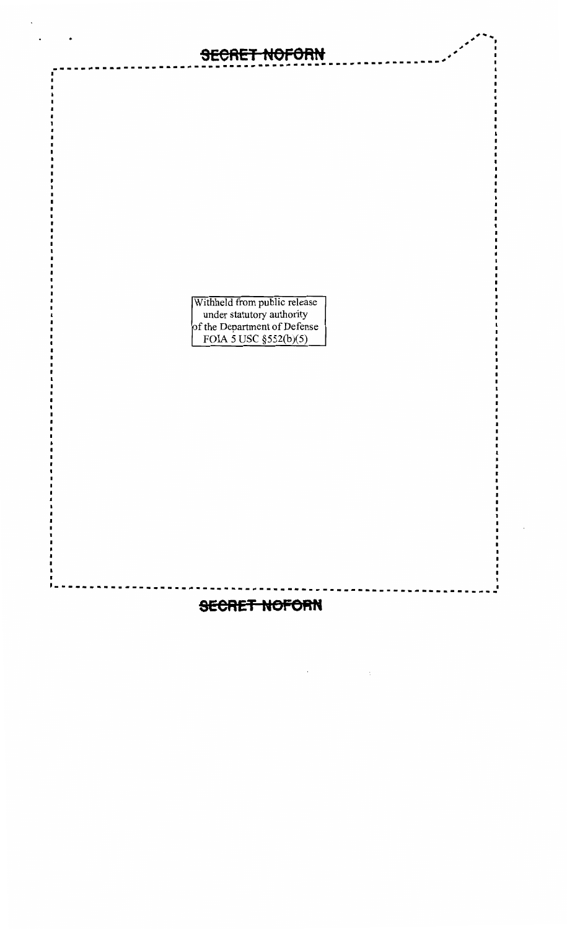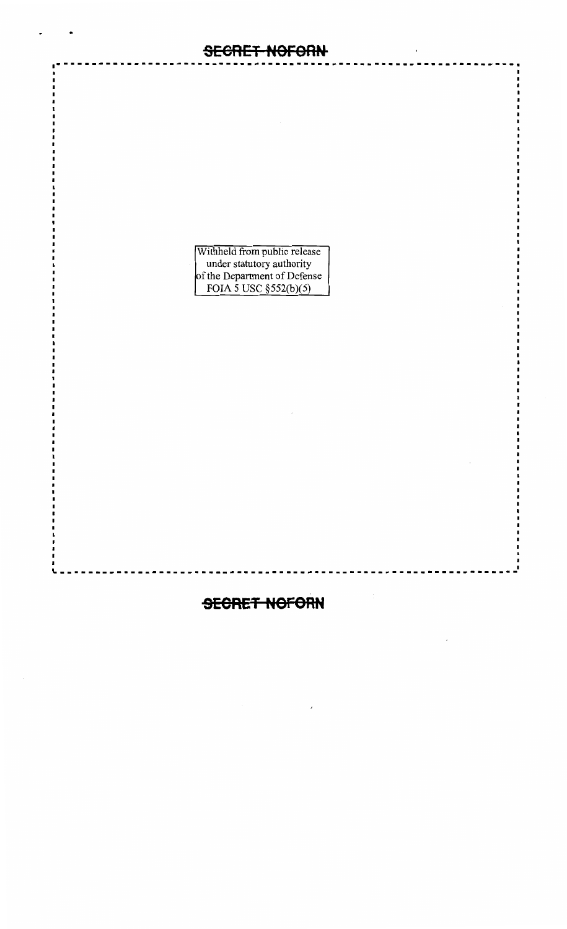

•